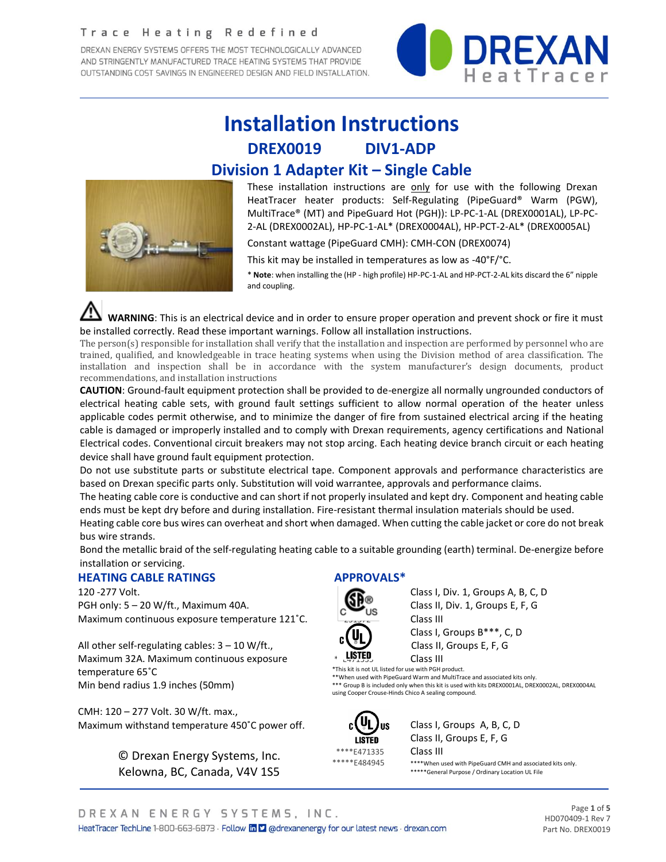#### Trace Heating Redefined

DREXAN ENERGY SYSTEMS OFFERS THE MOST TECHNOLOGICALLY ADVANCED AND STRINGENTLY MANUFACTURED TRACE HEATING SYSTEMS THAT PROVIDE OUTSTANDING COST SAVINGS IN ENGINEERED DESIGN AND FIELD INSTALLATION.



# **Installation Instructions DREX0019 DIV1-ADP Division 1 Adapter Kit – Single Cable**



These installation instructions are only for use with the following Drexan HeatTracer heater products: Self-Regulating (PipeGuard® Warm (PGW), MultiTrace® (MT) and PipeGuard Hot (PGH)): LP-PC-1-AL (DREX0001AL), LP-PC-2-AL (DREX0002AL), HP-PC-1-AL\* (DREX0004AL), HP-PCT-2-AL\* (DREX0005AL)

Constant wattage (PipeGuard CMH): CMH-CON (DREX0074)

This kit may be installed in temperatures as low as -40°F/°C.

\* **Note**: when installing the (HP - high profile) HP-PC-1-AL and HP-PCT-2-AL kits discard the 6" nipple and coupling.

 **WARNING**: This is an electrical device and in order to ensure proper operation and prevent shock or fire it must be installed correctly. Read these important warnings. Follow all installation instructions.

The person(s) responsible for installation shall verify that the installation and inspection are performed by personnel who are trained, qualified, and knowledgeable in trace heating systems when using the Division method of area classification. The installation and inspection shall be in accordance with the system manufacturer's design documents, product recommendations, and installation instructions

**CAUTION**: Ground-fault equipment protection shall be provided to de-energize all normally ungrounded conductors of electrical heating cable sets, with ground fault settings sufficient to allow normal operation of the heater unless applicable codes permit otherwise, and to minimize the danger of fire from sustained electrical arcing if the heating cable is damaged or improperly installed and to comply with Drexan requirements, agency certifications and National Electrical codes. Conventional circuit breakers may not stop arcing. Each heating device branch circuit or each heating device shall have ground fault equipment protection.

Do not use substitute parts or substitute electrical tape. Component approvals and performance characteristics are based on Drexan specific parts only. Substitution will void warrantee, approvals and performance claims.

The heating cable core is conductive and can short if not properly insulated and kept dry. Component and heating cable ends must be kept dry before and during installation. Fire-resistant thermal insulation materials should be used.

Heating cable core bus wires can overheat and short when damaged. When cutting the cable jacket or core do not break bus wire strands.

Bond the metallic braid of the self-regulating heating cable to a suitable grounding (earth) terminal. De-energize before installation or servicing.

#### **HEATING CABLE RATINGS**

120 -277 Volt. PGH only: 5 – 20 W/ft., Maximum 40A. Maximum continuous exposure temperature 121˚C.

All other self-regulating cables: 3 – 10 W/ft., Maximum 32A. Maximum continuous exposure temperature 65˚C Min bend radius 1.9 inches (50mm)

CMH: 120 – 277 Volt. 30 W/ft. max., Maximum withstand temperature 450˚C power off.

> © Drexan Energy Systems, Inc. Kelowna, BC, Canada, V4V 1S5

## **APPROVALS\***



Class I, Div. 1, Groups A, B, C, D Class II, Div. 1, Groups E, F, G Class III

Class I, Groups B\*\*\*, C, D Class II, Groups E, F, G

Class III

\*This kit is not UL listed for use with PGH product. \*\*When used with PipeGuard Warm and MultiTrace and associated kits only.

\*\*\* Group B is included only when this kit is used with kits DREX0001AL, DREX0002AL, DREX0004AL using Cooper Crouse-Hinds Chico A sealing compound.



us Class I, Groups A, B, C, D LISTED Class II, Groups E, F, G

\*\*\*\*E471335 **Class III**<br>\*\*\*\*\*E484945 \*\*\*\*when u

\*\*\*\*When used with PipeGuard CMH and associated kits only. \*\*\*\*\*General Purpose / Ordinary Location UL File

Page **1** of **5** HD070409-1 Rev 7 Part No. DREX0019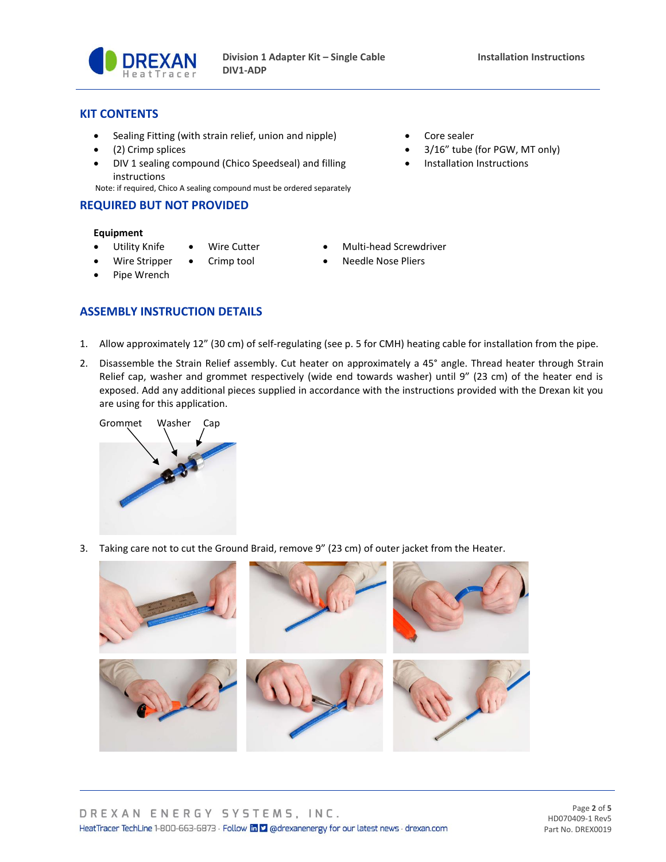

• Installation Instructions

### **KIT CONTENTS**

- Sealing Fitting (with strain relief, union and nipple) Core sealer
- (2) Crimp splices 3/16" tube (for PGW, MT only)
- DIV 1 sealing compound (Chico Speedseal) and filling instructions

Note: if required, Chico A sealing compound must be ordered separately

#### **REQUIRED BUT NOT PROVIDED**

#### **Equipment**

- Utility Knife Wire Cutter Multi-head Screwdriver
- Wire Stripper Crimp tool Needle Nose Pliers
- 

• Pipe Wrench

## **ASSEMBLY INSTRUCTION DETAILS**

- 1. Allow approximately 12" (30 cm) of self-regulating (see p. 5 for CMH) heating cable for installation from the pipe.
- 2. Disassemble the Strain Relief assembly. Cut heater on approximately a 45° angle. Thread heater through Strain Relief cap, washer and grommet respectively (wide end towards washer) until 9" (23 cm) of the heater end is exposed. Add any additional pieces supplied in accordance with the instructions provided with the Drexan kit you are using for this application.



3. Taking care not to cut the Ground Braid, remove 9" (23 cm) of outer jacket from the Heater.

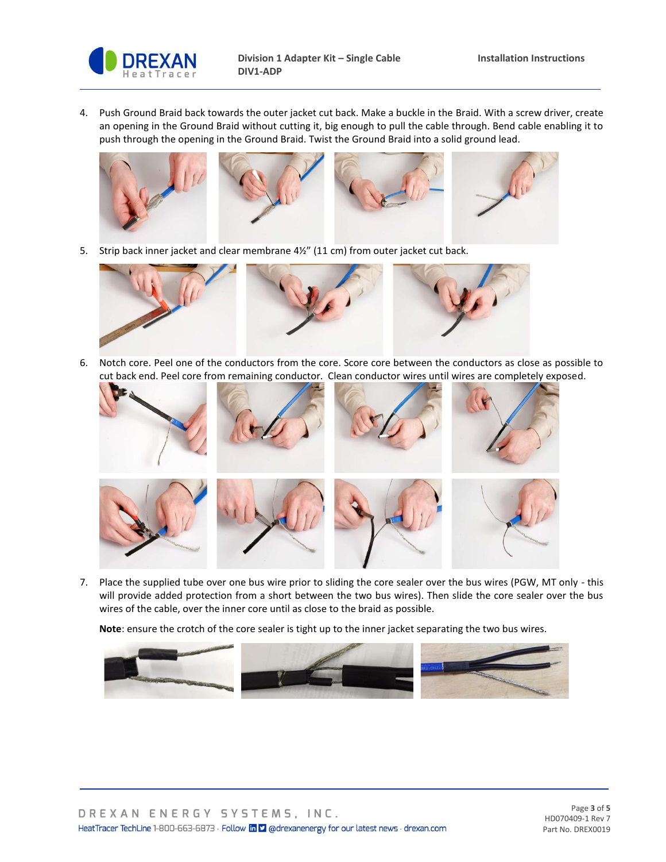

4. Push Ground Braid back towards the outer jacket cut back. Make a buckle in the Braid. With a screw driver, create an opening in the Ground Braid without cutting it, big enough to pull the cable through. Bend cable enabling it to push through the opening in the Ground Braid. Twist the Ground Braid into a solid ground lead.



5. Strip back inner jacket and clear membrane 4½" (11 cm) from outer jacket cut back.



6. Notch core. Peel one of the conductors from the core. Score core between the conductors as close as possible to cut back end. Peel core from remaining conductor. Clean conductor wires until wires are completely exposed.



7. Place the supplied tube over one bus wire prior to sliding the core sealer over the bus wires (PGW, MT only - this will provide added protection from a short between the two bus wires). Then slide the core sealer over the bus wires of the cable, over the inner core until as close to the braid as possible.

**Note**: ensure the crotch of the core sealer is tight up to the inner jacket separating the two bus wires.

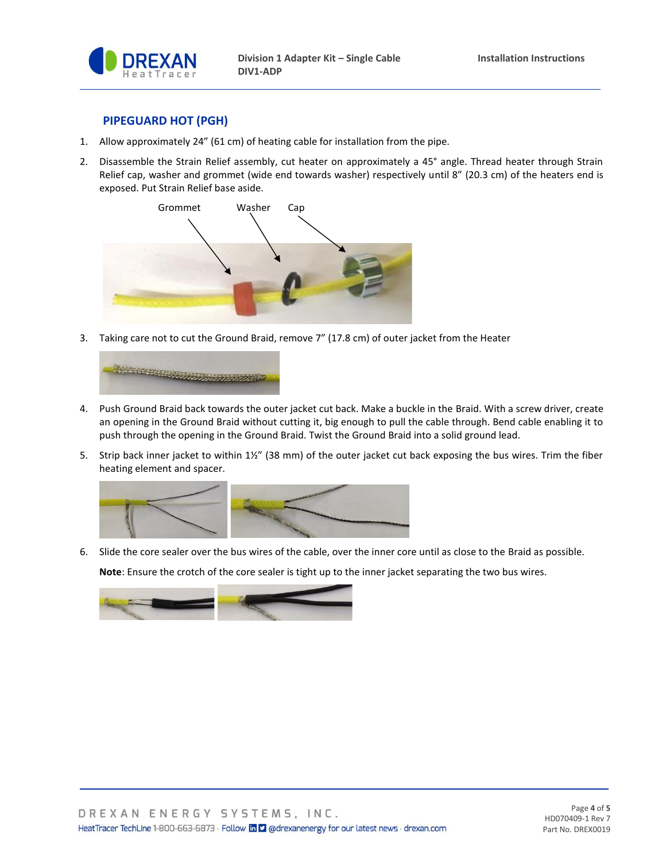

### **PIPEGUARD HOT (PGH)**

- 1. Allow approximately 24" (61 cm) of heating cable for installation from the pipe.
- 2. Disassemble the Strain Relief assembly, cut heater on approximately a 45° angle. Thread heater through Strain Relief cap, washer and grommet (wide end towards washer) respectively until 8" (20.3 cm) of the heaters end is exposed. Put Strain Relief base aside.



3. Taking care not to cut the Ground Braid, remove 7" (17.8 cm) of outer jacket from the Heater



- 4. Push Ground Braid back towards the outer jacket cut back. Make a buckle in the Braid. With a screw driver, create an opening in the Ground Braid without cutting it, big enough to pull the cable through. Bend cable enabling it to push through the opening in the Ground Braid. Twist the Ground Braid into a solid ground lead.
- 5. Strip back inner jacket to within 1½" (38 mm) of the outer jacket cut back exposing the bus wires. Trim the fiber heating element and spacer.



6. Slide the core sealer over the bus wires of the cable, over the inner core until as close to the Braid as possible. **Note**: Ensure the crotch of the core sealer is tight up to the inner jacket separating the two bus wires.